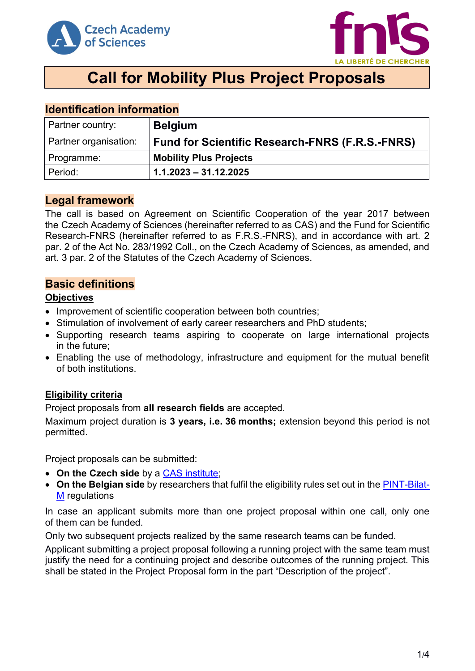



# **Call for Mobility Plus Project Proposals**

| <u>IUVIILIIVULIVII IIIIVIIIIULIVII</u> |                                                        |  |
|----------------------------------------|--------------------------------------------------------|--|
| Partner country:                       | <b>Belgium</b>                                         |  |
| Partner organisation:                  | <b>Fund for Scientific Research-FNRS (F.R.S.-FNRS)</b> |  |
| Programme:                             | <b>Mobility Plus Projects</b>                          |  |
| Period:                                | $1.1.2023 - 31.12.2025$                                |  |

# **Identification information**

# **Legal framework**

The call is based on Agreement on Scientific Cooperation of the year 2017 between the Czech Academy of Sciences (hereinafter referred to as CAS) and the Fund for Scientific Research-FNRS (hereinafter referred to as F.R.S.-FNRS), and in accordance with art. 2 par. 2 of the Act No. 283/1992 Coll., on the Czech Academy of Sciences, as amended, and art. 3 par. 2 of the Statutes of the Czech Academy of Sciences.

# **Basic definitions**

### **Objectives**

- Improvement of scientific cooperation between both countries;
- Stimulation of involvement of early career researchers and PhD students;
- Supporting research teams aspiring to cooperate on large international projects in the future;
- Enabling the use of methodology, infrastructure and equipment for the mutual benefit of both institutions.

# **Eligibility criteria**

Project proposals from **all research fields** are accepted.

Maximum project duration is **3 years, i.e. 36 months;** extension beyond this period is not permitted.

Project proposals can be submitted:

- **On the Czech side** by a [CAS institute;](http://www.avcr.cz/en/about-us/cas-structure/research-institutes/)
- **On the Belgian side** by researchers that fulfil the eligibility rules set out in the [PINT-Bilat-](http://www.fnrs.be/docs/Reglement-et-documents/International/FRS-FNRS_PINT-Bilat-M.pdf)[M](http://www.fnrs.be/docs/Reglement-et-documents/International/FRS-FNRS_PINT-Bilat-M.pdf) regulations

In case an applicant submits more than one project proposal within one call, only one of them can be funded.

Only two subsequent projects realized by the same research teams can be funded.

Applicant submitting a project proposal following a running project with the same team must justify the need for a continuing project and describe outcomes of the running project. This shall be stated in the Project Proposal form in the part "Description of the project".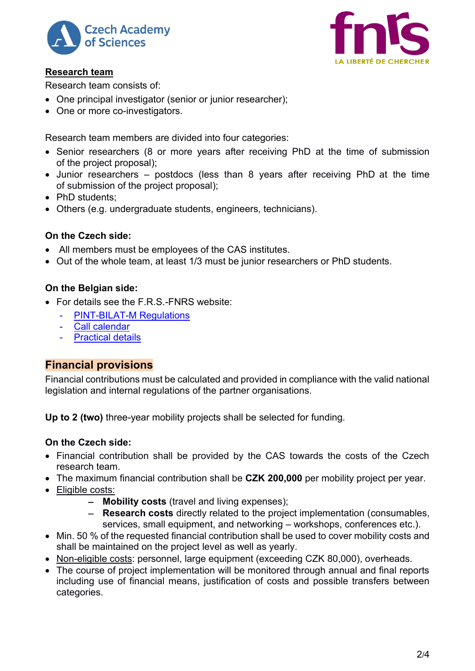



# **Research team**

Research team consists of:

- One principal investigator (senior or junior researcher);
- One or more co-investigators.

Research team members are divided into four categories:

- Senior researchers (8 or more years after receiving PhD at the time of submission of the project proposal);
- Junior researchers postdocs (less than 8 years after receiving PhD at the time of submission of the project proposal);
- PhD students;
- Others (e.g. undergraduate students, engineers, technicians).

# **On the Czech side:**

- All members must be employees of the CAS institutes.
- Out of the whole team, at least 1/3 must be junior researchers or PhD students.

# **On the Belgian side:**

- For details see the  $F.R.S.FNRS$  website:
	- [PINT-BILAT-M Regulations](http://www.fnrs.be/docs/Reglement-et-documents/International/FRS-FNRS_PINT-Bilat-M.pdf)
	- [Call calendar](http://www.fnrs.be/calendrier-des-appels)
	- **[Practical details](https://www.frs-fnrs.be/fr/accords-bilateraux-modalites-pratiques)**

# **Financial provisions**

Financial contributions must be calculated and provided in compliance with the valid national legislation and internal regulations of the partner organisations.

**Up to 2 (two)** three-year mobility projects shall be selected for funding.

# **On the Czech side:**

- Financial contribution shall be provided by the CAS towards the costs of the Czech research team.
- The maximum financial contribution shall be **CZK 200,000** per mobility project per year.
- Eligible costs:
	- − **Mobility costs** (travel and living expenses);
	- − **Research costs** directly related to the project implementation (consumables, services, small equipment, and networking – workshops, conferences etc.).
- Min. 50 % of the requested financial contribution shall be used to cover mobility costs and shall be maintained on the project level as well as yearly.
- Non-eligible costs: personnel, large equipment (exceeding CZK 80,000), overheads,
- The course of project implementation will be monitored through annual and final reports including use of financial means, justification of costs and possible transfers between categories.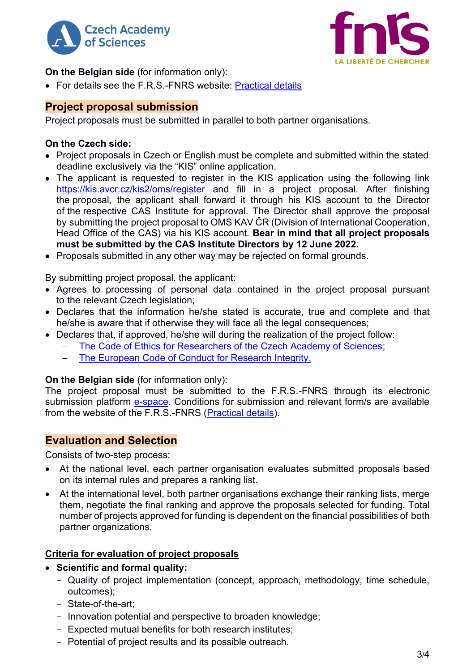



### **On the Belgian side** (for information only):

• For details see the F.R.S.-FNRS website: [Practical details](https://www.frs-fnrs.be/fr/accords-bilateraux-modalites-pratiques)

# **Project proposal submission**

Project proposals must be submitted in parallel to both partner organisations.

#### **On the Czech side:**

- Project proposals in Czech or English must be complete and submitted within the stated deadline exclusively via the "KIS" online application.
- The applicant is requested to register in the KIS application using the following link <https://kis.avcr.cz/kis2/oms/register> and fill in a project proposal. After finishing the proposal, the applicant shall forward it through his KIS account to the Director of the respective CAS Institute for approval. The Director shall approve the proposal by submitting the project proposal to OMS KAV ČR (Division of International Cooperation, Head Office of the CAS) via his KIS account. **Bear in mind that all project proposals must be submitted by the CAS Institute Directors by 12 June 2022.**
- Proposals submitted in any other way may be rejected on formal grounds.

By submitting project proposal, the applicant:

- Agrees to processing of personal data contained in the project proposal pursuant to the relevant Czech legislation:
- Declares that the information he/she stated is accurate, true and complete and that he/she is aware that if otherwise they will face all the legal consequences;
- Declares that, if approved, he/she will during the realization of the project follow:
	- The Code of Ethics for Researchers of [the Czech Academy of Sciences;](https://www.avcr.cz/en/about-us/legal-regulations/code-of-ethics-for-researchers-of-the-czech-academy-of-sciences/)
	- [The European Code of Conduct for Research Integrity.](http://www.allea.org/wp-content/uploads/2017/05/ALLEA-European-Code-of-Conduct-for-Research-Integrity-2017.pdf)

# **On the Belgian side** (for information only):

The project proposal must be submitted to the F.R.S.-FNRS through its electronic submission platform [e-space.](https://e-space.frs-fnrs.be/) Conditions for submission and relevant form/s are available from the website of the F.R.S.-FNRS [\(Practical details\)](https://www.frs-fnrs.be/fr/accords-bilateraux-modalites-pratiques).

# **Evaluation and Selection**

Consists of two-step process:

- At the national level, each partner organisation evaluates submitted proposals based on its internal rules and prepares a ranking list.
- At the international level, both partner organisations exchange their ranking lists, merge them, negotiate the final ranking and approve the proposals selected for funding. Total number of projects approved for funding is dependent on the financial possibilities of both partner organizations.

#### **Criteria for evaluation of project proposals**

- **Scientific and formal quality:**
	- Quality of project implementation (concept, approach, methodology, time schedule, outcomes);
	- State-of-the-art;
	- Innovation potential and perspective to broaden knowledge;
	- Expected mutual benefits for both research institutes;
	- Potential of project results and its possible outreach.